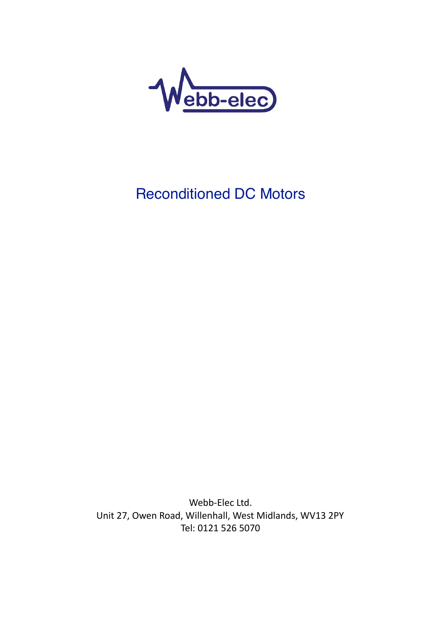

## Reconditioned DC Motors

Webb-Elec Ltd. Unit 27, Owen Road, Willenhall, West Midlands, WV13 2PY Tel: 0121 526 5070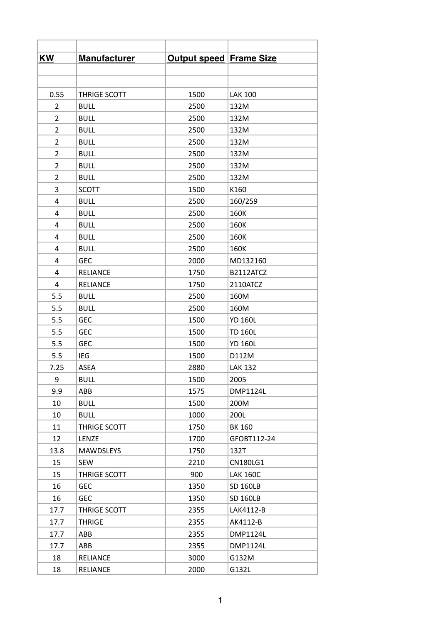| <b>KW</b>      | <b>Manufacturer</b> | <b>Output speed Frame Size</b> |                 |
|----------------|---------------------|--------------------------------|-----------------|
|                |                     |                                |                 |
|                |                     |                                |                 |
| 0.55           | THRIGE SCOTT        | 1500                           | <b>LAK 100</b>  |
| $\overline{2}$ | <b>BULL</b>         | 2500                           | 132M            |
| $\overline{2}$ | <b>BULL</b>         | 2500                           | 132M            |
| $\overline{2}$ | <b>BULL</b>         | 2500                           | 132M            |
| $\overline{2}$ | <b>BULL</b>         | 2500                           | 132M            |
| $\overline{2}$ | <b>BULL</b>         | 2500                           | 132M            |
| $\overline{2}$ | <b>BULL</b>         | 2500                           | 132M            |
| $\overline{2}$ | <b>BULL</b>         | 2500                           | 132M            |
| 3              | <b>SCOTT</b>        | 1500                           | K160            |
| 4              | <b>BULL</b>         | 2500                           | 160/259         |
| 4              | <b>BULL</b>         | 2500                           | 160K            |
| 4              | <b>BULL</b>         | 2500                           | 160K            |
| 4              | <b>BULL</b>         | 2500                           | 160K            |
| 4              | <b>BULL</b>         | 2500                           | 160K            |
| 4              | <b>GEC</b>          | 2000                           | MD132160        |
| 4              | <b>RELIANCE</b>     | 1750                           | B2112ATCZ       |
| 4              | <b>RELIANCE</b>     | 1750                           | 2110ATCZ        |
| 5.5            | <b>BULL</b>         | 2500                           | 160M            |
| 5.5            | <b>BULL</b>         | 2500                           | 160M            |
| 5.5            | <b>GEC</b>          | 1500                           | <b>YD 160L</b>  |
| 5.5            | <b>GEC</b>          | 1500                           | <b>TD 160L</b>  |
| 5.5            | <b>GEC</b>          | 1500                           | <b>YD 160L</b>  |
| 5.5            | IEG                 | 1500                           | D112M           |
| 7.25           | <b>ASEA</b>         | 2880                           | <b>LAK 132</b>  |
| 9              | <b>BULL</b>         | 1500                           | 2005            |
| 9.9            | ABB                 | 1575                           | <b>DMP1124L</b> |
| 10             | <b>BULL</b>         | 1500                           | 200M            |
| 10             | <b>BULL</b>         | 1000                           | 200L            |
| 11             | THRIGE SCOTT        | 1750                           | <b>BK 160</b>   |
| 12             | LENZE               | 1700                           | GFOBT112-24     |
| 13.8           | <b>MAWDSLEYS</b>    | 1750                           | 132T            |
| 15             | <b>SEW</b>          | 2210                           | CN180LG1        |
| 15             | THRIGE SCOTT        | 900                            | <b>LAK 160C</b> |
| 16             | <b>GEC</b>          | 1350                           | <b>SD 160LB</b> |
| 16             | <b>GEC</b>          | 1350                           | <b>SD 160LB</b> |
| 17.7           | THRIGE SCOTT        | 2355                           | LAK4112-B       |
| 17.7           | <b>THRIGE</b>       | 2355                           | AK4112-B        |
| 17.7           | ABB                 | 2355                           | <b>DMP1124L</b> |
| 17.7           | ABB                 | 2355                           | <b>DMP1124L</b> |
| 18             | <b>RELIANCE</b>     | 3000                           | G132M           |
| 18             | <b>RELIANCE</b>     | 2000                           | G132L           |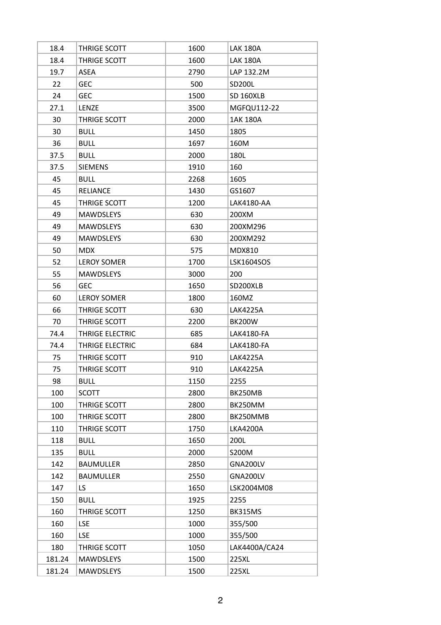| 18.4   | THRIGE SCOTT       | 1600 | <b>LAK 180A</b>     |
|--------|--------------------|------|---------------------|
| 18.4   | THRIGE SCOTT       | 1600 | <b>LAK 180A</b>     |
| 19.7   | <b>ASEA</b>        | 2790 | LAP 132.2M          |
| 22     | <b>GEC</b>         | 500  | SD <sub>200</sub> L |
| 24     | <b>GEC</b>         | 1500 | SD 160XLB           |
| 27.1   | <b>LENZE</b>       | 3500 | MGFQU112-22         |
| 30     | THRIGE SCOTT       | 2000 | 1AK 180A            |
| 30     | <b>BULL</b>        | 1450 | 1805                |
| 36     | <b>BULL</b>        | 1697 | 160M                |
| 37.5   | <b>BULL</b>        | 2000 | 180L                |
| 37.5   | <b>SIEMENS</b>     | 1910 | 160                 |
| 45     | <b>BULL</b>        | 2268 | 1605                |
| 45     | RELIANCE           | 1430 | GS1607              |
| 45     | THRIGE SCOTT       | 1200 | LAK4180-AA          |
| 49     | <b>MAWDSLEYS</b>   | 630  | 200XM               |
| 49     | <b>MAWDSLEYS</b>   | 630  | 200XM296            |
| 49     | <b>MAWDSLEYS</b>   | 630  | 200XM292            |
| 50     | <b>MDX</b>         | 575  | <b>MDX810</b>       |
| 52     | <b>LEROY SOMER</b> | 1700 | <b>LSK1604SOS</b>   |
| 55     | <b>MAWDSLEYS</b>   | 3000 | 200                 |
| 56     | <b>GEC</b>         | 1650 | SD200XLB            |
| 60     | LEROY SOMER        | 1800 | 160MZ               |
| 66     | THRIGE SCOTT       | 630  | <b>LAK4225A</b>     |
| 70     | THRIGE SCOTT       | 2200 | <b>BK200W</b>       |
| 74.4   | THRIGE ELECTRIC    | 685  | LAK4180-FA          |
| 74.4   | THRIGE ELECTRIC    | 684  | LAK4180-FA          |
| 75     | THRIGE SCOTT       | 910  | <b>LAK4225A</b>     |
| 75     | THRIGE SCOTT       | 910  | <b>LAK4225A</b>     |
| 98     | <b>BULL</b>        | 1150 | 2255                |
| 100    | <b>SCOTT</b>       | 2800 | BK250MB             |
| 100    | THRIGE SCOTT       | 2800 | BK250MM             |
| 100    | THRIGE SCOTT       | 2800 | BK250MMB            |
| 110    | THRIGE SCOTT       | 1750 | <b>LKA4200A</b>     |
| 118    | <b>BULL</b>        | 1650 | 200L                |
| 135    | <b>BULL</b>        | 2000 | S200M               |
| 142    | <b>BAUMULLER</b>   | 2850 | GNA200LV            |
| 142    | <b>BAUMULLER</b>   | 2550 | GNA200LV            |
| 147    | LS                 | 1650 | LSK2004M08          |
| 150    | <b>BULL</b>        | 1925 | 2255                |
| 160    | THRIGE SCOTT       | 1250 | BK315MS             |
| 160    | <b>LSE</b>         | 1000 | 355/500             |
| 160    | <b>LSE</b>         | 1000 | 355/500             |
| 180    | THRIGE SCOTT       | 1050 | LAK4400A/CA24       |
| 181.24 | <b>MAWDSLEYS</b>   | 1500 | 225XL               |
| 181.24 | <b>MAWDSLEYS</b>   | 1500 | 225XL               |
|        |                    |      |                     |